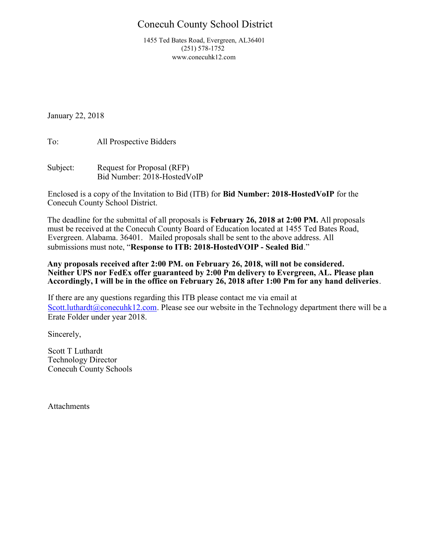# Conecuh County School District

 1455 Ted Bates Road, Evergreen, AL36401 (251) 578-1752 www.conecuhk12.com

January 22, 2018

To: All Prospective Bidders

Subject: Request for Proposal (RFP) Bid Number: 2018-HostedVoIP

Enclosed is a copy of the Invitation to Bid (ITB) for Bid Number: 2018-HostedVoIP for the Conecuh County School District.

The deadline for the submittal of all proposals is February 26, 2018 at 2:00 PM. All proposals must be received at the Conecuh County Board of Education located at 1455 Ted Bates Road, Evergreen. Alabama. 36401. Mailed proposals shall be sent to the above address. All submissions must note, "Response to ITB: 2018-HostedVOIP - Sealed Bid."

Any proposals received after 2:00 PM. on February 26, 2018, will not be considered. Neither UPS nor FedEx offer guaranteed by 2:00 Pm delivery to Evergreen, AL. Please plan Accordingly, I will be in the office on February 26, 2018 after 1:00 Pm for any hand deliveries.

If there are any questions regarding this ITB please contact me via email at Scott.luthardt@conecuhk12.com. Please see our website in the Technology department there will be a Erate Folder under year 2018.

Sincerely,

Scott T Luthardt Technology Director Conecuh County Schools

Attachments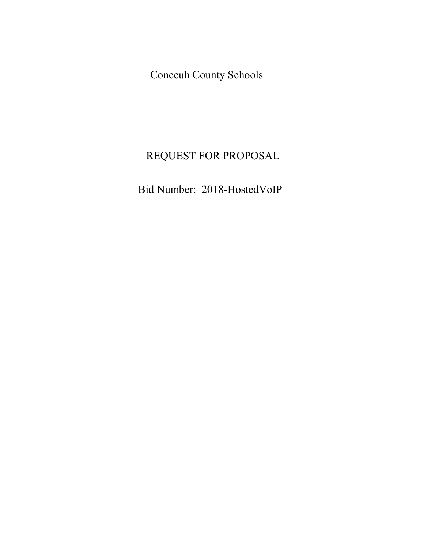Conecuh County Schools

# REQUEST FOR PROPOSAL

Bid Number: 2018-HostedVoIP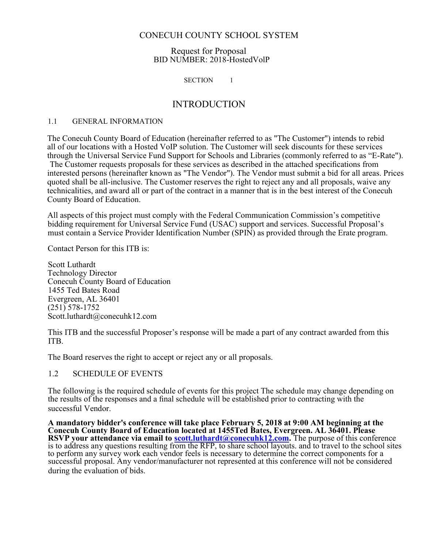#### Request for Proposal BID NUMBER: 2018-HostedVolP

#### SECTION 1

## INTRODUCTION

#### 1.1 GENERAL INFORMATION

The Conecuh County Board of Education (hereinafter referred to as "The Customer") intends to rebid all of our locations with a Hosted VoIP solution. The Customer will seek discounts for these services through the Universal Service Fund Support for Schools and Libraries (commonly referred to as "E-Rate"). The Customer requests proposals for these services as described in the attached specifications from interested persons (hereinafter known as "The Vendor"). The Vendor must submit a bid for all areas. Prices quoted shall be all-inclusive. The Customer reserves the right to reject any and all proposals, waive any technicalities, and award all or part of the contract in a manner that is in the best interest of the Conecuh County Board of Education.

All aspects of this project must comply with the Federal Communication Commission's competitive bidding requirement for Universal Service Fund (USAC) support and services. Successful Proposal's must contain a Service Provider Identification Number (SPIN) as provided through the Erate program.

Contact Person for this ITB is:

Scott Luthardt Technology Director Conecuh County Board of Education 1455 Ted Bates Road Evergreen, AL 36401 (251) 578-1752 Scott.luthardt@conecuhk12.com

This ITB and the successful Proposer's response will be made a part of any contract awarded from this ITB.

The Board reserves the right to accept or reject any or all proposals.

#### 1.2 SCHEDULE OF EVENTS

The following is the required schedule of events for this project The schedule may change depending on the results of the responses and a final schedule will be established prior to contracting with the successful Vendor.

A mandatory bidder's conference will take place February 5, 2018 at 9:00 AM beginning at the Conecuh County Board of Education located at 1455Ted Bates, Evergreen. AL 36401. Please RSVP your attendance via email to **scott.luthardt@conecuhk12.com**. The purpose of this conference is to address any questions resulting from the RFP, to share school layouts. and to travel to the school sites to perform any survey work each vendor feels is necessary to determine the correct components for a successful proposal. Any vendor/manufacturer not represented at this conference will not be considered during the evaluation of bids.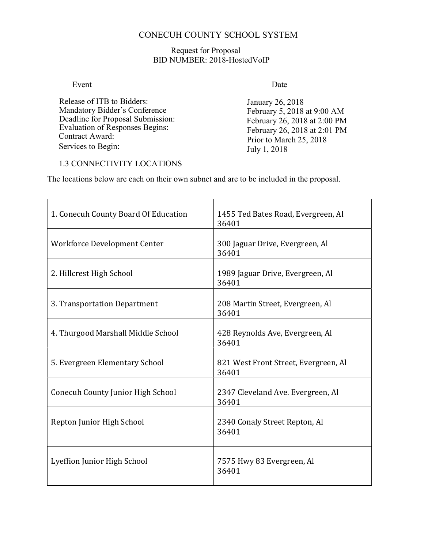## Request for Proposal BID NUMBER: 2018-HostedVoIP

## Event Date

Release of ITB to Bidders: Mandatory Bidder's Conference Deadline for Proposal Submission: Evaluation of Responses Begins: Contract Award: Services to Begin:

January 26, 2018 February 5, 2018 at 9:00 AM February 26, 2018 at 2:00 PM February 26, 2018 at 2:01 PM Prior to March 25, 2018 July 1, 2018

## 1.3 CONNECTIVITY LOCATIONS

The locations below are each on their own subnet and are to be included in the proposal.

| 1. Conecuh County Board Of Education | 1455 Ted Bates Road, Evergreen, Al<br>36401   |  |
|--------------------------------------|-----------------------------------------------|--|
| Workforce Development Center         | 300 Jaguar Drive, Evergreen, Al<br>36401      |  |
| 2. Hillcrest High School             | 1989 Jaguar Drive, Evergreen, Al<br>36401     |  |
| 3. Transportation Department         | 208 Martin Street, Evergreen, Al<br>36401     |  |
| 4. Thurgood Marshall Middle School   | 428 Reynolds Ave, Evergreen, Al<br>36401      |  |
| 5. Evergreen Elementary School       | 821 West Front Street, Evergreen, Al<br>36401 |  |
| Conecuh County Junior High School    | 2347 Cleveland Ave. Evergreen, Al<br>36401    |  |
| Repton Junior High School            | 2340 Conaly Street Repton, Al<br>36401        |  |
| Lyeffion Junior High School          | 7575 Hwy 83 Evergreen, Al<br>36401            |  |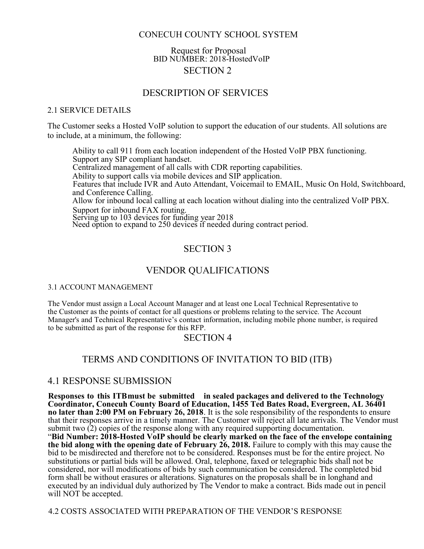## Request for Proposal BID NUMBER: 2018-HostedVoIP SECTION 2

## DESCRIPTION OF SERVICES

#### 2.1 SERVICE DETAILS

The Customer seeks a Hosted VoIP solution to support the education of our students. All solutions are to include, at a minimum, the following:

Ability to call 911 from each location independent of the Hosted VoIP PBX functioning. Support any SIP compliant handset. Centralized management of all calls with CDR reporting capabilities. Ability to support calls via mobile devices and SIP application. Features that include IVR and Auto Attendant, Voicemail to EMAIL, Music On Hold, Switchboard, and Conference Calling. Allow for inbound local calling at each location without dialing into the centralized VoIP PBX. Support for inbound FAX routing. Serving up to 103 devices for funding year 2018 Need option to expand to 250 devices if needed during contract period.

## SECTION 3

## VENDOR QUALIFICATIONS

#### 3.1 ACCOUNT MANAGEMENT

The Vendor must assign a Local Account Manager and at least one Local Technical Representative to the Customer as the points of contact for all questions or problems relating to the service. The Account Manager's and Technical Representative's contact information, including mobile phone number, is required to be submitted as part of the response for this RFP.

## SECTION 4

## TERMS AND CONDITIONS OF INVITATION TO BID (ITB)

#### 4.1 RESPONSE SUBMISSION

Responses to this ITB must be submitted in sealed packages and delivered to the Technology Coordinator, Conecuh County Board of Education, 1455 Ted Bates Road, Evergreen, AL 36401 no later than 2:00 PM on February 26, 2018. It is the sole responsibility of the respondents to ensure that their responses arrive in a timely manner. The Customer will reject all late arrivals. The Vendor must submit two  $(2)$  copies of the response along with any required supporting documentation. "Bid Number: 2018-Hosted VoIP should be clearly marked on the face of the envelope containing the bid along with the opening date of February 26, 2018. Failure to comply with this may cause the bid to be misdirected and therefore not to be considered. Responses must be for the entire project. No substitutions or partial bids will be allowed. Oral, telephone, faxed or telegraphic bids shall not be considered, nor will modifications of bids by such communication be considered. The completed bid form shall be without erasures or alterations. Signatures on the proposals shall be in longhand and executed by an individual duly authorized by The Vendor to make a contract. Bids made out in pencil will NOT be accepted.

4.2 COSTS ASSOCIATED WITH PREPARATION OF THE VENDOR'S RESPONSE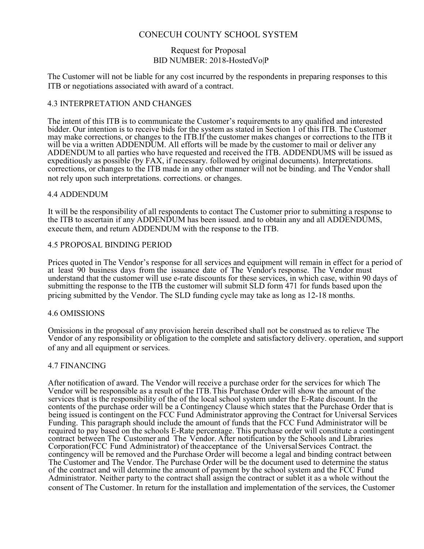#### Request for Proposal BID NUMBER: 2018-HostedVo|P

The Customer will not be liable for any cost incurred by the respondents in preparing responses to this ITB or negotiations associated with award of a contract.

#### 4.3 INTERPRETATION AND CHANGES

The intent of this ITB is to communicate the Customer's requirements to any qualified and interested bidder. Our intention is to receive bids for the system as stated in Section 1 of this ITB. The Customer may make corrections, or changes to the ITB. If the customer makes changes or corrections to the ITB it will be via a written ADDENDUM. All efforts will be made by the customer to mail or deliver any ADDENDUM to all parties who have requested and received the ITB. ADDENDUMS will be issued as expeditiously as possible (by FAX, if necessary. followed by original documents). Interpretations. corrections, or changes to the ITB made in any other manner will not be binding. and The Vendor shall not rely upon such interpretations. corrections. or changes.

#### 4.4 ADDENDUM

It will be the responsibility of all respondents to contact The Customer prior to submitting a response to the ITB to ascertain if any ADDENDUM has been issued. and to obtain any and all ADDENDUMS, execute them, and return ADDENDUM with the response to the ITB.

#### 4.5 PROPOSAL BINDING PERIOD

Prices quoted in The Vendor's response for all services and equipment will remain in effect for a period of at least 90 business days from the issuance date of The Vendor's response. The Vendor must understand that the customer will use e-rate discounts for these services, in which case, within 90 days of submitting the response to the ITB the customer will submit SLD form 471 for funds based upon the pricing submitted by the Vendor. The SLD funding cycle may take as long as 12-18 months.

#### 4.6 OMISSIONS

Omissions in the proposal of any provision herein described shall not be construed as to relieve The Vendor of any responsibility or obligation to the complete and satisfactory delivery. operation, and support of any and all equipment or services.

#### 4.7 FINANCING

After notification of award. The Vendor will receive a purchase order for the services for which The Vendor will be responsible as a result of the ITB. This Purchase Order will show the amount of the services that is the responsibility of the of the local school system under the E-Rate discount. In the contents of the purchase order will be a Contingency Clause which states that the Purchase Order that is being issued is contingent on the FCC Fund Administrator approving the Contract for Universal Services Funding. This paragraph should include the amount of funds that the FCC Fund Administrator will be required to pay based on the schools E-Rate percentage. This purchase order will constitute a contingent contract between The Customer and The Vendor. After notification by the Schools and Libraries Corporation (FCC Fund Administrator) of the acceptance of the Universal Services Contract. the contingency will be removed and the Purchase Order will become a legal and binding contract between The Customer and The Vendor. The Purchase Order will be the document used to determine the status of the contract and will determine the amount of payment by the school system and the FCC Fund Administrator. Neither party to the contract shall assign the contract or sublet it as a whole without the consent of The Customer. In return for the installation and implementation of the services, the Customer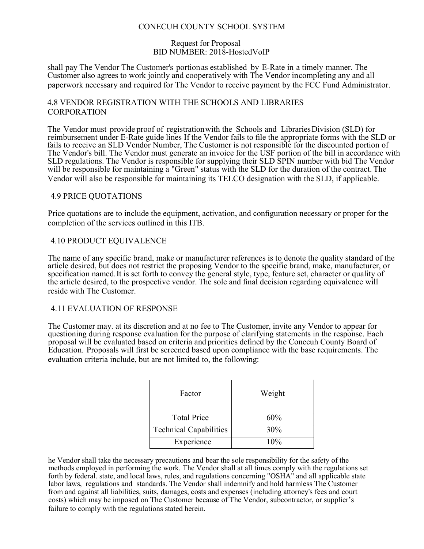#### Request for Proposal BID NUMBER: 2018-HostedVoIP

shall pay The Vendor The Customer's portion as established by E-Rate in a timely manner. The Customer also agrees to work jointly and cooperatively with The Vendor in completing any and all paperwork necessary and required for The Vendor to receive payment by the FCC Fund Administrator.

## 4.8 VENDOR REGISTRATION WITH THE SCHOOLS AND LIBRARIES CORPORATION

The Vendor must provide proof of registration with the Schools and Libraries Division (SLD) for reimbursement under E-Rate guide lines If the Vendor fails to file the appropriate forms with the SLD or fails to receive an SLD Vendor Number, The Customer is not responsible for the discounted portion of The Vendor's bill. The Vendor must generate an invoice for the USF portion of the bill in accordance with SLD regulations. The Vendor is responsible for supplying their SLD SPIN number with bid The Vendor will be responsible for maintaining a "Green" status with the SLD for the duration of the contract. The Vendor will also be responsible for maintaining its TELCO designation with the SLD, if applicable.

#### 4.9 PRICE QUOTATIONS

Price quotations are to include the equipment, activation, and configuration necessary or proper for the completion of the services outlined in this ITB.

#### 4.10 PRODUCT EQUIVALENCE

The name of any specific brand, make or manufacturer references is to denote the quality standard of the article desired, but does not restrict the proposing Vendor to the specific brand, make, manufacturer, or specification named. It is set forth to convey the general style, type, feature set, character or quality of the article desired, to the prospective vendor. The sole and final decision regarding equivalence will reside with The Customer.

#### 4.11 EVALUATION OF RESPONSE

The Customer may. at its discretion and at no fee to The Customer, invite any Vendor to appear for questioning during response evaluation for the purpose of clarifying statements in the response. Each proposal will be evaluated based on criteria and priorities defined by the Conecuh County Board of Education. Proposals will first be screened based upon compliance with the base requirements. The evaluation criteria include, but are not limited to, the following:

| Factor                        | Weight |
|-------------------------------|--------|
| <b>Total Price</b>            | 60%    |
| <b>Technical Capabilities</b> | 30%    |
| Experience                    | 10%    |

he Vendor shall take the necessary precautions and bear the sole responsibility for the safety of the methods employed in performing the work. The Vendor shall at all times comply with the regulations set forth by federal. state, and local laws, rules, and regulations concerning "OSHA" and all applicable state labor laws, regulations and standards. The Vendor shall indemnify and hold harmless The Customer from and against all liabilities, suits, damages, costs and expenses (including attorney's fees and court costs) which may be imposed on The Customer because of The Vendor, subcontractor, or supplier's failure to comply with the regulations stated herein.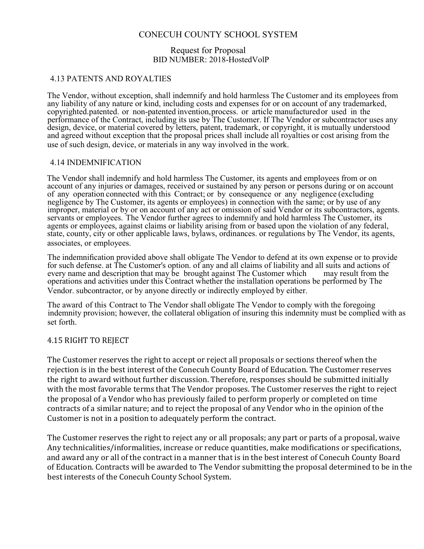#### Request for Proposal BID NUMBER: 2018-HostedVolP

## 4.13 PATENTS AND ROYALTIES

The Vendor, without exception, shall indemnify and hold harmless The Customer and its employees from any liability of any nature or kind, including costs and expenses for or on account of any trademarked, copyrighted. patented. or non-patented invention, process. or article manufactured or used in the performance of the Contract, including its use by The Customer. If The Vendor or subcontractor uses any design, device, or material covered by letters, patent, trademark, or copyright, it is mutually understood and agreed without exception that the proposal prices shall include all royalties or cost arising from the use of such design, device, or materials in any way involved in the work.

#### 4.14 INDEMNIFICATION

The Vendor shall indemnify and hold harmless The Customer, its agents and employees from or on account of any injuries or damages, received or sustained by any person or persons during or on account of any operation connected with this Contract; or by consequence or any negligence (excluding negligence by The Customer, its agents or employees) in connection with the same; or by use of any improper, material or by or on account of any act or omission of said Vendor or its subcontractors, agents. servants or employees. The Vendor further agrees to indemnify and hold harmless The Customer, its agents or employees, against claims or liability arising from or based upon the violation of any federal, state, county, city or other applicable laws, bylaws, ordinances. or regulations by The Vendor, its agents, associates, or employees.

The indemnification provided above shall obligate The Vendor to defend at its own expense or to provide for such defense. at The Customer's option. of any and all claims of liability and all suits and actions of every name and description that may be brought against The Customer which may result from the operations and activities under this Contract whether the installation operations be performed by The Vendor. subcontractor, or by anyone directly or indirectly employed by either.

The award of this Contract to The Vendor shall obligate The Vendor to comply with the foregoing indemnity provision; however, the collateral obligation of insuring this indemnity must be complied with as set forth.

#### 4.15 RIGHT TO REJECT

The Customer reserves the right to accept or reject all proposals or sections thereof when the rejection is in the best interest of the Conecuh County Board of Education. The Customer reserves the right to award without further discussion. Therefore, responses should be submitted initially with the most favorable terms that The Vendor proposes. The Customer reserves the right to reject the proposal of a Vendor who has previously failed to perform properly or completed on time contracts of a similar nature; and to reject the proposal of any Vendor who in the opinion of the Customer is not in a position to adequately perform the contract.

The Customer reserves the right to reject any or all proposals; any part or parts of a proposal, waive Any technicalities/informalities, increase or reduce quantities, make modifications or specifications, and award any or all of the contract in a manner that is in the best interest of Conecuh County Board of Education. Contracts will be awarded to The Vendor submitting the proposal determined to be in the best interests of the Conecuh County School System.